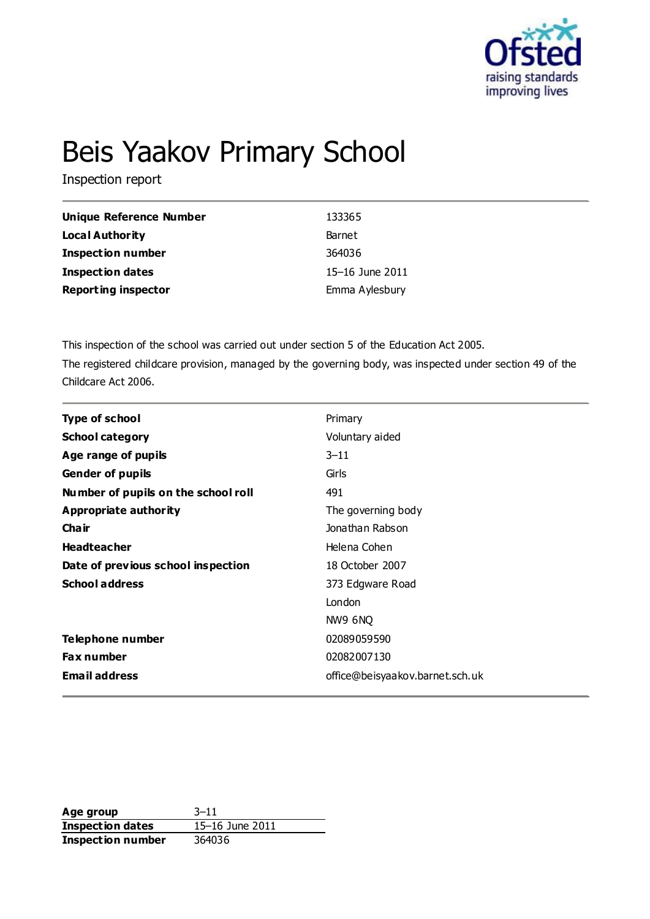

# Beis Yaakov Primary School

Inspection report

| Unique Reference Number    | 133365          |
|----------------------------|-----------------|
| Local Authority            | Barnet          |
| <b>Inspection number</b>   | 364036          |
| <b>Inspection dates</b>    | 15-16 June 2011 |
| <b>Reporting inspector</b> | Emma Aylesbury  |

This inspection of the school was carried out under section 5 of the Education Act 2005.

The registered childcare provision, managed by the governing body, was inspected under section 49 of the Childcare Act 2006.

| <b>Type of school</b>               | Primary                         |
|-------------------------------------|---------------------------------|
| <b>School category</b>              | Voluntary aided                 |
| Age range of pupils                 | $3 - 11$                        |
| <b>Gender of pupils</b>             | Girls                           |
| Number of pupils on the school roll | 491                             |
| <b>Appropriate authority</b>        | The governing body              |
| Cha ir                              | Jonathan Rabson                 |
| <b>Headteacher</b>                  | Helena Cohen                    |
| Date of previous school inspection  | 18 October 2007                 |
| <b>School address</b>               | 373 Edgware Road                |
|                                     | London                          |
|                                     | NW9 6NQ                         |
| Telephone number                    | 02089059590                     |
| <b>Fax number</b>                   | 02082007130                     |
| <b>Email address</b>                | office@beisyaakov.barnet.sch.uk |

**Age group** 3–11 **Inspection dates** 15–16 June 2011 **Inspection number** 364036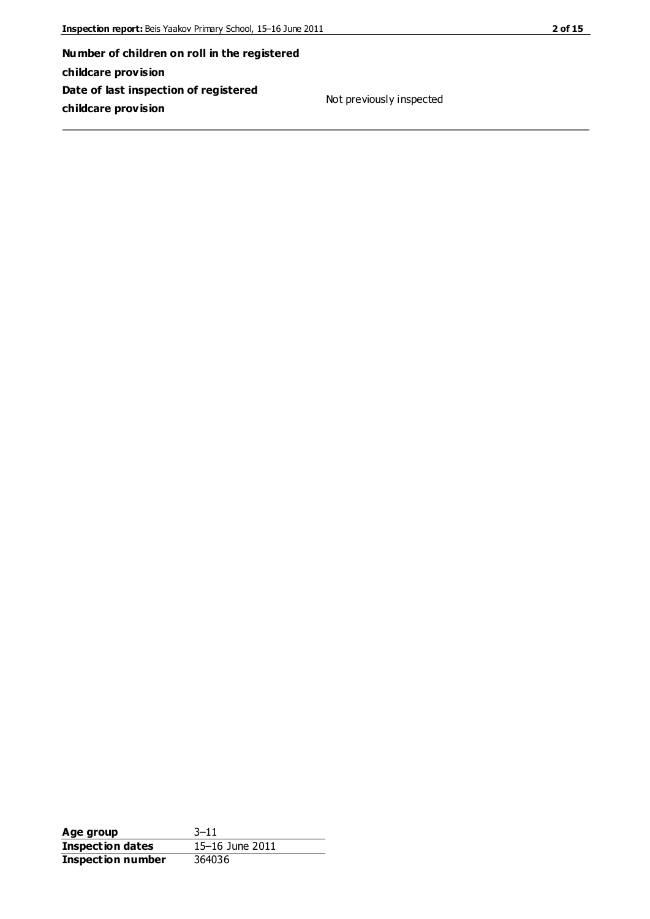**Number of children on roll in the registered childcare provision Date of last inspection of registered childcare provision**

Not previously inspected

Age group 3–11 **Inspection dates** 15–16 June 2011<br> **Inspection number** 364036 **Inspection number**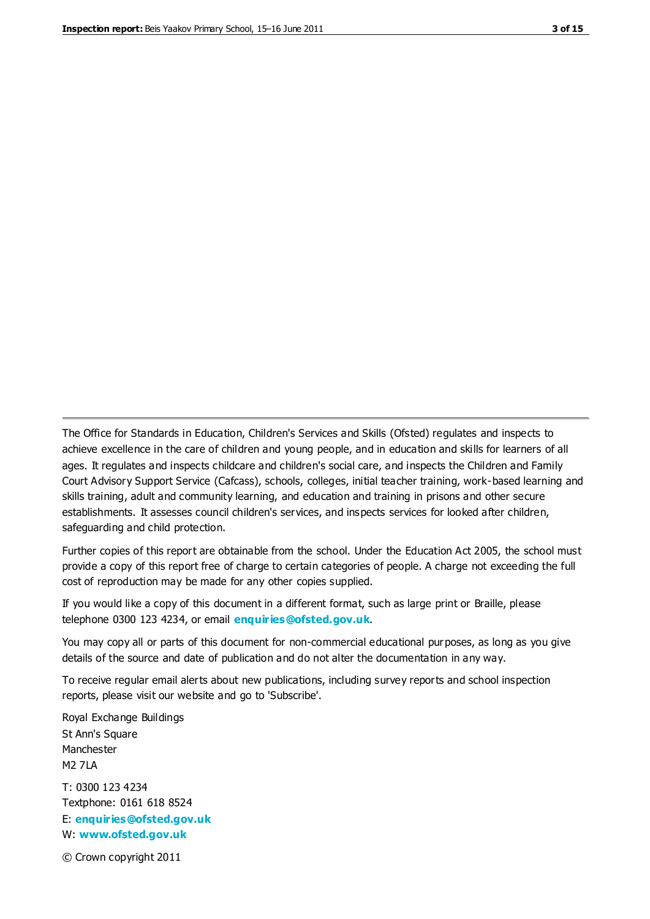The Office for Standards in Education, Children's Services and Skills (Ofsted) regulates and inspects to achieve excellence in the care of children and young people, and in education and skills for learners of all ages. It regulates and inspects childcare and children's social care, and inspects the Children and Family Court Advisory Support Service (Cafcass), schools, colleges, initial teacher training, work-based learning and skills training, adult and community learning, and education and training in prisons and other secure establishments. It assesses council children's services, and inspects services for looked after children, safeguarding and child protection.

Further copies of this report are obtainable from the school. Under the Education Act 2005, the school must provide a copy of this report free of charge to certain categories of people. A charge not exceeding the full cost of reproduction may be made for any other copies supplied.

If you would like a copy of this document in a different format, such as large print or Braille, please telephone 0300 123 4234, or email **[enquiries@ofsted.gov.uk](mailto:enquiries@ofsted.gov.uk)**.

You may copy all or parts of this document for non-commercial educational purposes, as long as you give details of the source and date of publication and do not alter the documentation in any way.

To receive regular email alerts about new publications, including survey reports and school inspection reports, please visit our website and go to 'Subscribe'.

Royal Exchange Buildings St Ann's Square Manchester M2 7LA T: 0300 123 4234 Textphone: 0161 618 8524 E: **[enquiries@ofsted.gov.uk](mailto:enquiries@ofsted.gov.uk)**

W: **[www.ofsted.gov.uk](http://www.ofsted.gov.uk/)**

© Crown copyright 2011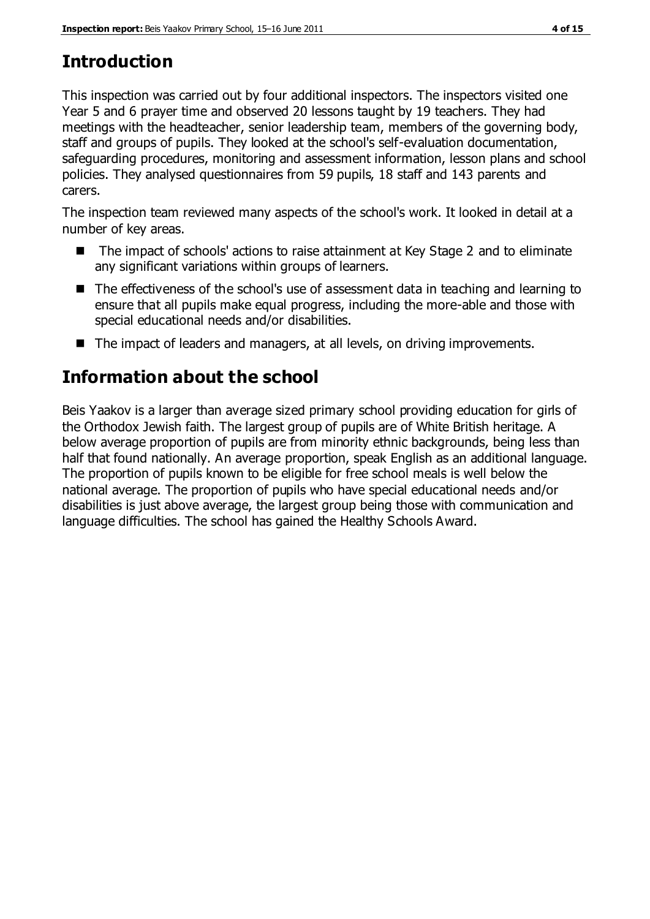### **Introduction**

This inspection was carried out by four additional inspectors. The inspectors visited one Year 5 and 6 prayer time and observed 20 lessons taught by 19 teachers. They had meetings with the headteacher, senior leadership team, members of the governing body, staff and groups of pupils. They looked at the school's self-evaluation documentation, safeguarding procedures, monitoring and assessment information, lesson plans and school policies. They analysed questionnaires from 59 pupils, 18 staff and 143 parents and carers.

The inspection team reviewed many aspects of the school's work. It looked in detail at a number of key areas.

- The impact of schools' actions to raise attainment at Key Stage 2 and to eliminate any significant variations within groups of learners.
- The effectiveness of the school's use of assessment data in teaching and learning to ensure that all pupils make equal progress, including the more-able and those with special educational needs and/or disabilities.
- The impact of leaders and managers, at all levels, on driving improvements.

## **Information about the school**

Beis Yaakov is a larger than average sized primary school providing education for girls of the Orthodox Jewish faith. The largest group of pupils are of White British heritage. A below average proportion of pupils are from minority ethnic backgrounds, being less than half that found nationally. An average proportion, speak English as an additional language. The proportion of pupils known to be eligible for free school meals is well below the national average. The proportion of pupils who have special educational needs and/or disabilities is just above average, the largest group being those with communication and language difficulties. The school has gained the Healthy Schools Award.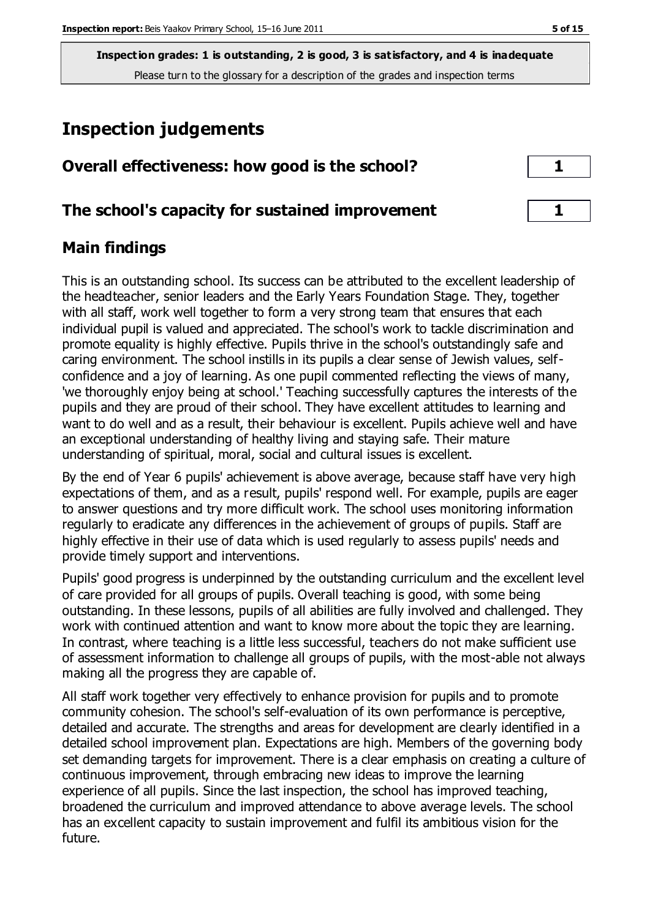**Inspection grades: 1 is outstanding, 2 is good, 3 is satisfactory, and 4 is inadequate** Please turn to the glossary for a description of the grades and inspection terms

#### **Inspection judgements**

| Overall effectiveness: how good is the school?  |  |
|-------------------------------------------------|--|
| The school's capacity for sustained improvement |  |

#### **Main findings**

This is an outstanding school. Its success can be attributed to the excellent leadership of the headteacher, senior leaders and the Early Years Foundation Stage. They, together with all staff, work well together to form a very strong team that ensures that each individual pupil is valued and appreciated. The school's work to tackle discrimination and promote equality is highly effective. Pupils thrive in the school's outstandingly safe and caring environment. The school instills in its pupils a clear sense of Jewish values, selfconfidence and a joy of learning. As one pupil commented reflecting the views of many, 'we thoroughly enjoy being at school.' Teaching successfully captures the interests of the pupils and they are proud of their school. They have excellent attitudes to learning and want to do well and as a result, their behaviour is excellent. Pupils achieve well and have an exceptional understanding of healthy living and staying safe. Their mature understanding of spiritual, moral, social and cultural issues is excellent.

By the end of Year 6 pupils' achievement is above average, because staff have very high expectations of them, and as a result, pupils' respond well. For example, pupils are eager to answer questions and try more difficult work. The school uses monitoring information regularly to eradicate any differences in the achievement of groups of pupils. Staff are highly effective in their use of data which is used regularly to assess pupils' needs and provide timely support and interventions.

Pupils' good progress is underpinned by the outstanding curriculum and the excellent level of care provided for all groups of pupils. Overall teaching is good, with some being outstanding. In these lessons, pupils of all abilities are fully involved and challenged. They work with continued attention and want to know more about the topic they are learning. In contrast, where teaching is a little less successful, teachers do not make sufficient use of assessment information to challenge all groups of pupils, with the most-able not always making all the progress they are capable of.

All staff work together very effectively to enhance provision for pupils and to promote community cohesion. The school's self-evaluation of its own performance is perceptive, detailed and accurate. The strengths and areas for development are clearly identified in a detailed school improvement plan. Expectations are high. Members of the governing body set demanding targets for improvement. There is a clear emphasis on creating a culture of continuous improvement, through embracing new ideas to improve the learning experience of all pupils. Since the last inspection, the school has improved teaching, broadened the curriculum and improved attendance to above average levels. The school has an excellent capacity to sustain improvement and fulfil its ambitious vision for the future.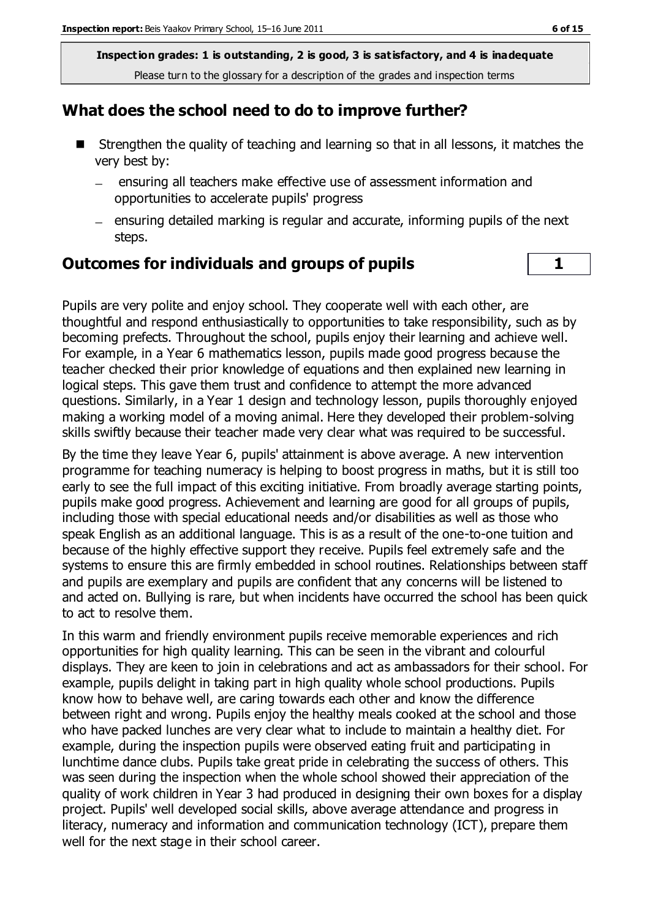**Inspection grades: 1 is outstanding, 2 is good, 3 is satisfactory, and 4 is inadequate** Please turn to the glossary for a description of the grades and inspection terms

#### **What does the school need to do to improve further?**

- Strengthen the quality of teaching and learning so that in all lessons, it matches the very best by:
	- $\equiv$ ensuring all teachers make effective use of assessment information and opportunities to accelerate pupils' progress
	- $=$  ensuring detailed marking is regular and accurate, informing pupils of the next steps.

#### **Outcomes for individuals and groups of pupils 1**

Pupils are very polite and enjoy school. They cooperate well with each other, are thoughtful and respond enthusiastically to opportunities to take responsibility, such as by becoming prefects. Throughout the school, pupils enjoy their learning and achieve well. For example, in a Year 6 mathematics lesson, pupils made good progress because the teacher checked their prior knowledge of equations and then explained new learning in logical steps. This gave them trust and confidence to attempt the more advanced questions. Similarly, in a Year 1 design and technology lesson, pupils thoroughly enjoyed making a working model of a moving animal. Here they developed their problem-solving skills swiftly because their teacher made very clear what was required to be successful.

By the time they leave Year 6, pupils' attainment is above average. A new intervention programme for teaching numeracy is helping to boost progress in maths, but it is still too early to see the full impact of this exciting initiative. From broadly average starting points, pupils make good progress. Achievement and learning are good for all groups of pupils, including those with special educational needs and/or disabilities as well as those who speak English as an additional language. This is as a result of the one-to-one tuition and because of the highly effective support they receive. Pupils feel extremely safe and the systems to ensure this are firmly embedded in school routines. Relationships between staff and pupils are exemplary and pupils are confident that any concerns will be listened to and acted on. Bullying is rare, but when incidents have occurred the school has been quick to act to resolve them.

In this warm and friendly environment pupils receive memorable experiences and rich opportunities for high quality learning. This can be seen in the vibrant and colourful displays. They are keen to join in celebrations and act as ambassadors for their school. For example, pupils delight in taking part in high quality whole school productions. Pupils know how to behave well, are caring towards each other and know the difference between right and wrong. Pupils enjoy the healthy meals cooked at the school and those who have packed lunches are very clear what to include to maintain a healthy diet. For example, during the inspection pupils were observed eating fruit and participating in lunchtime dance clubs. Pupils take great pride in celebrating the success of others. This was seen during the inspection when the whole school showed their appreciation of the quality of work children in Year 3 had produced in designing their own boxes for a display project. Pupils' well developed social skills, above average attendance and progress in literacy, numeracy and information and communication technology (ICT), prepare them well for the next stage in their school career.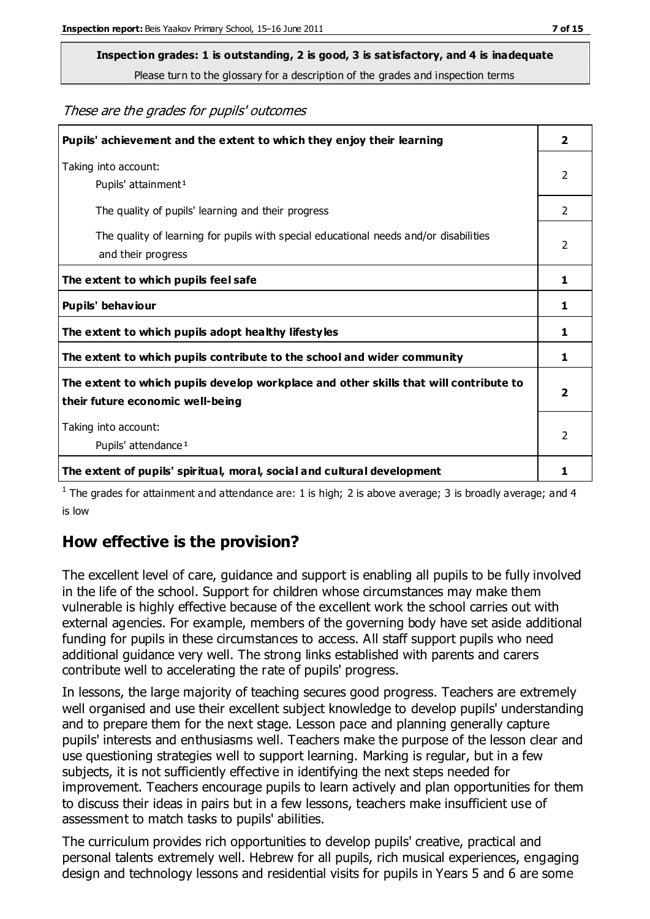# **Inspection grades: 1 is outstanding, 2 is good, 3 is satisfactory, and 4 is inadequate**

Please turn to the glossary for a description of the grades and inspection terms

These are the grades for pupils' outcomes

| Pupils' achievement and the extent to which they enjoy their learning                                                     | $\overline{\mathbf{2}}$ |
|---------------------------------------------------------------------------------------------------------------------------|-------------------------|
| Taking into account:<br>Pupils' attainment <sup>1</sup>                                                                   | 2                       |
| The quality of pupils' learning and their progress                                                                        | $\mathcal{P}$           |
| The quality of learning for pupils with special educational needs and/or disabilities<br>and their progress               | $\mathcal{P}$           |
| The extent to which pupils feel safe                                                                                      | 1                       |
| Pupils' behaviour                                                                                                         | 1                       |
| The extent to which pupils adopt healthy lifestyles                                                                       | 1                       |
| The extent to which pupils contribute to the school and wider community                                                   | 1                       |
| The extent to which pupils develop workplace and other skills that will contribute to<br>their future economic well-being |                         |
| Taking into account:<br>Pupils' attendance <sup>1</sup>                                                                   | $\mathfrak{p}$          |
| The extent of pupils' spiritual, moral, social and cultural development                                                   |                         |

<sup>1</sup> The grades for attainment and attendance are: 1 is high; 2 is above average; 3 is broadly average; and 4 is low

#### **How effective is the provision?**

The excellent level of care, guidance and support is enabling all pupils to be fully involved in the life of the school. Support for children whose circumstances may make them vulnerable is highly effective because of the excellent work the school carries out with external agencies. For example, members of the governing body have set aside additional funding for pupils in these circumstances to access. All staff support pupils who need additional guidance very well. The strong links established with parents and carers contribute well to accelerating the rate of pupils' progress.

In lessons, the large majority of teaching secures good progress. Teachers are extremely well organised and use their excellent subject knowledge to develop pupils' understanding and to prepare them for the next stage. Lesson pace and planning generally capture pupils' interests and enthusiasms well. Teachers make the purpose of the lesson clear and use questioning strategies well to support learning. Marking is regular, but in a few subjects, it is not sufficiently effective in identifying the next steps needed for improvement. Teachers encourage pupils to learn actively and plan opportunities for them to discuss their ideas in pairs but in a few lessons, teachers make insufficient use of assessment to match tasks to pupils' abilities.

The curriculum provides rich opportunities to develop pupils' creative, practical and personal talents extremely well. Hebrew for all pupils, rich musical experiences, engaging design and technology lessons and residential visits for pupils in Years 5 and 6 are some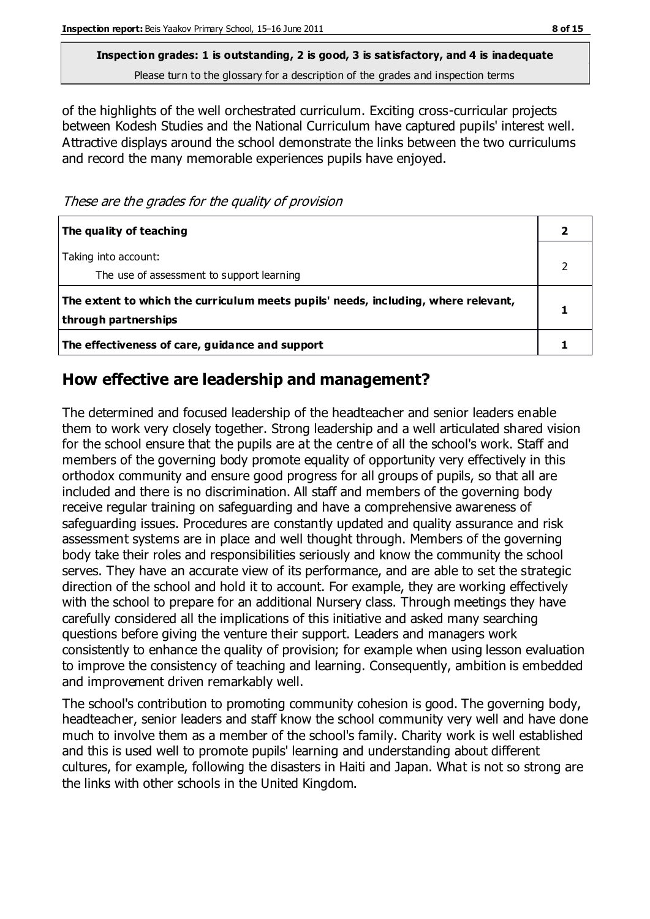**Inspection grades: 1 is outstanding, 2 is good, 3 is satisfactory, and 4 is inadequate**

Please turn to the glossary for a description of the grades and inspection terms

of the highlights of the well orchestrated curriculum. Exciting cross-curricular projects between Kodesh Studies and the National Curriculum have captured pupils' interest well. Attractive displays around the school demonstrate the links between the two curriculums and record the many memorable experiences pupils have enjoyed.

These are the grades for the quality of provision

| The quality of teaching                                                                                    |  |
|------------------------------------------------------------------------------------------------------------|--|
| Taking into account:<br>The use of assessment to support learning                                          |  |
| The extent to which the curriculum meets pupils' needs, including, where relevant,<br>through partnerships |  |
| The effectiveness of care, guidance and support                                                            |  |

#### **How effective are leadership and management?**

The determined and focused leadership of the headteacher and senior leaders enable them to work very closely together. Strong leadership and a well articulated shared vision for the school ensure that the pupils are at the centre of all the school's work. Staff and members of the governing body promote equality of opportunity very effectively in this orthodox community and ensure good progress for all groups of pupils, so that all are included and there is no discrimination. All staff and members of the governing body receive regular training on safeguarding and have a comprehensive awareness of safeguarding issues. Procedures are constantly updated and quality assurance and risk assessment systems are in place and well thought through. Members of the governing body take their roles and responsibilities seriously and know the community the school serves. They have an accurate view of its performance, and are able to set the strategic direction of the school and hold it to account. For example, they are working effectively with the school to prepare for an additional Nursery class. Through meetings they have carefully considered all the implications of this initiative and asked many searching questions before giving the venture their support. Leaders and managers work consistently to enhance the quality of provision; for example when using lesson evaluation to improve the consistency of teaching and learning. Consequently, ambition is embedded and improvement driven remarkably well.

The school's contribution to promoting community cohesion is good. The governing body, headteacher, senior leaders and staff know the school community very well and have done much to involve them as a member of the school's family. Charity work is well established and this is used well to promote pupils' learning and understanding about different cultures, for example, following the disasters in Haiti and Japan. What is not so strong are the links with other schools in the United Kingdom.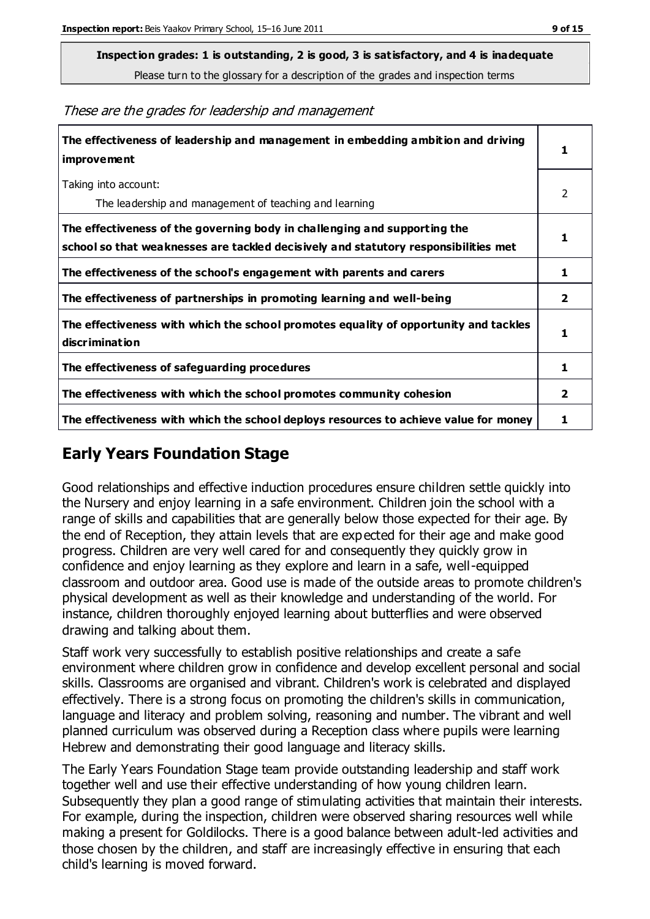**Inspection grades: 1 is outstanding, 2 is good, 3 is satisfactory, and 4 is inadequate**

Please turn to the glossary for a description of the grades and inspection terms

These are the grades for leadership and management

| The effectiveness of leadership and management in embedding ambition and driving<br>improvement                                                                  |                |
|------------------------------------------------------------------------------------------------------------------------------------------------------------------|----------------|
| Taking into account:<br>The leadership and management of teaching and learning                                                                                   | 2              |
| The effectiveness of the governing body in challenging and supporting the<br>school so that weaknesses are tackled decisively and statutory responsibilities met |                |
| The effectiveness of the school's engagement with parents and carers                                                                                             | 1              |
| The effectiveness of partnerships in promoting learning and well-being                                                                                           | 2              |
| The effectiveness with which the school promotes equality of opportunity and tackles<br>discrimination                                                           | 1              |
| The effectiveness of safeguarding procedures                                                                                                                     | 1              |
| The effectiveness with which the school promotes community cohesion                                                                                              | $\overline{2}$ |
| The effectiveness with which the school deploys resources to achieve value for money                                                                             | 1              |

#### **Early Years Foundation Stage**

Good relationships and effective induction procedures ensure children settle quickly into the Nursery and enjoy learning in a safe environment. Children join the school with a range of skills and capabilities that are generally below those expected for their age. By the end of Reception, they attain levels that are expected for their age and make good progress. Children are very well cared for and consequently they quickly grow in confidence and enjoy learning as they explore and learn in a safe, well-equipped classroom and outdoor area. Good use is made of the outside areas to promote children's physical development as well as their knowledge and understanding of the world. For instance, children thoroughly enjoyed learning about butterflies and were observed drawing and talking about them.

Staff work very successfully to establish positive relationships and create a safe environment where children grow in confidence and develop excellent personal and social skills. Classrooms are organised and vibrant. Children's work is celebrated and displayed effectively. There is a strong focus on promoting the children's skills in communication, language and literacy and problem solving, reasoning and number. The vibrant and well planned curriculum was observed during a Reception class where pupils were learning Hebrew and demonstrating their good language and literacy skills.

The Early Years Foundation Stage team provide outstanding leadership and staff work together well and use their effective understanding of how young children learn. Subsequently they plan a good range of stimulating activities that maintain their interests. For example, during the inspection, children were observed sharing resources well while making a present for Goldilocks. There is a good balance between adult-led activities and those chosen by the children, and staff are increasingly effective in ensuring that each child's learning is moved forward.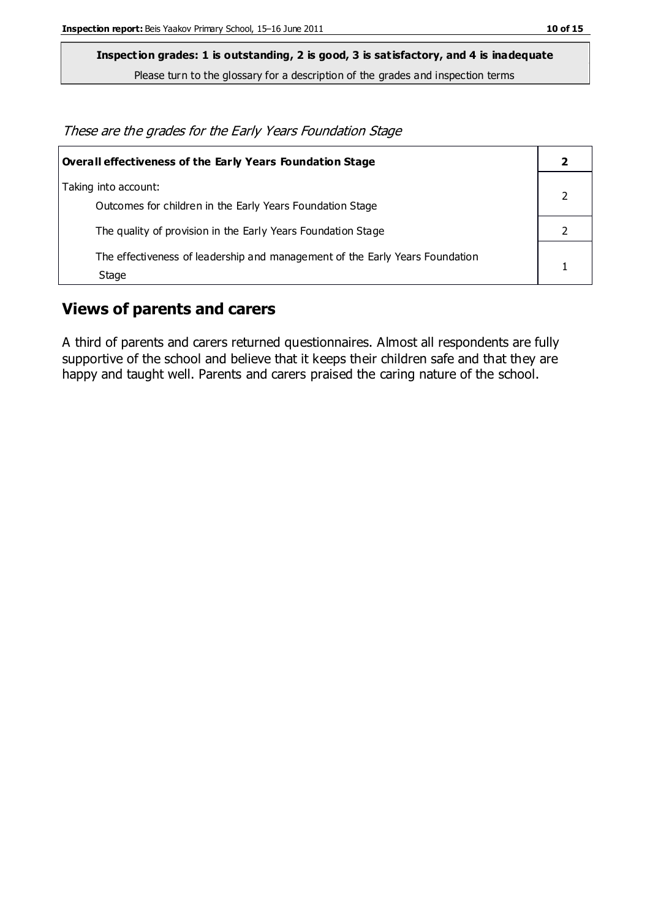**Inspection grades: 1 is outstanding, 2 is good, 3 is satisfactory, and 4 is inadequate** Please turn to the glossary for a description of the grades and inspection terms

These are the grades for the Early Years Foundation Stage

| <b>Overall effectiveness of the Early Years Foundation Stage</b>                      |  |
|---------------------------------------------------------------------------------------|--|
| Taking into account:<br>Outcomes for children in the Early Years Foundation Stage     |  |
| The quality of provision in the Early Years Foundation Stage                          |  |
| The effectiveness of leadership and management of the Early Years Foundation<br>Stage |  |

#### **Views of parents and carers**

A third of parents and carers returned questionnaires. Almost all respondents are fully supportive of the school and believe that it keeps their children safe and that they are happy and taught well. Parents and carers praised the caring nature of the school.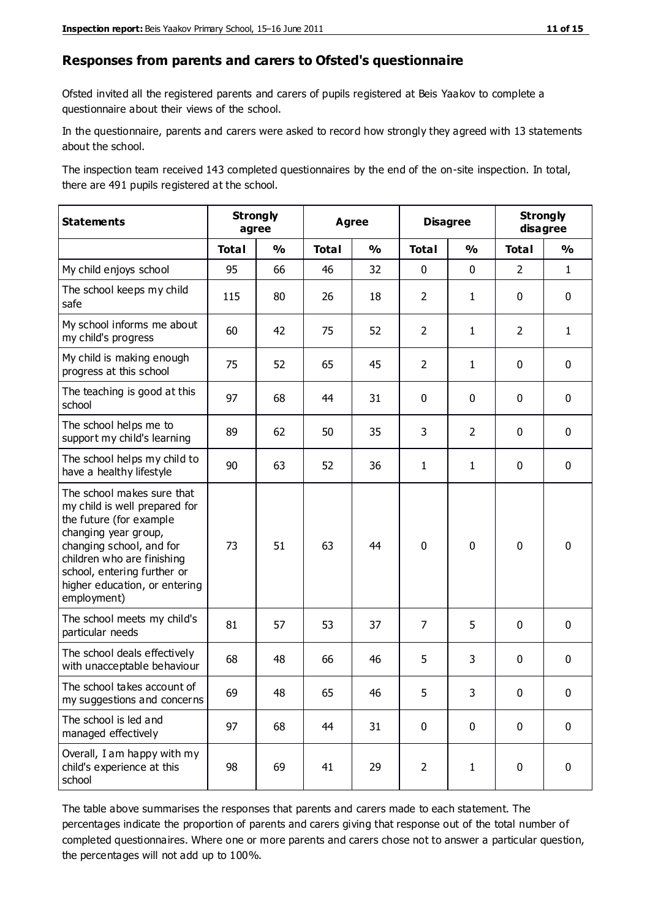#### **Responses from parents and carers to Ofsted's questionnaire**

Ofsted invited all the registered parents and carers of pupils registered at Beis Yaakov to complete a questionnaire about their views of the school.

In the questionnaire, parents and carers were asked to record how strongly they agreed with 13 statements about the school.

The inspection team received 143 completed questionnaires by the end of the on-site inspection. In total, there are 491 pupils registered at the school.

| <b>Statements</b>                                                                                                                                                                                                                                       | <b>Strongly</b><br>agree |               |              | <b>Agree</b>  |                | <b>Disagree</b> |                | <b>Strongly</b><br>disagree |  |
|---------------------------------------------------------------------------------------------------------------------------------------------------------------------------------------------------------------------------------------------------------|--------------------------|---------------|--------------|---------------|----------------|-----------------|----------------|-----------------------------|--|
|                                                                                                                                                                                                                                                         | <b>Total</b>             | $\frac{0}{0}$ | <b>Total</b> | $\frac{0}{0}$ | <b>Total</b>   | $\frac{0}{0}$   | <b>Total</b>   | $\frac{0}{0}$               |  |
| My child enjoys school                                                                                                                                                                                                                                  | 95                       | 66            | 46           | 32            | 0              | 0               | $\overline{2}$ | $\mathbf{1}$                |  |
| The school keeps my child<br>safe                                                                                                                                                                                                                       | 115                      | 80            | 26           | 18            | $\overline{2}$ | $\mathbf{1}$    | 0              | $\pmb{0}$                   |  |
| My school informs me about<br>my child's progress                                                                                                                                                                                                       | 60                       | 42            | 75           | 52            | $\overline{2}$ | $\mathbf{1}$    | 2              | $\mathbf{1}$                |  |
| My child is making enough<br>progress at this school                                                                                                                                                                                                    | 75                       | 52            | 65           | 45            | $\overline{2}$ | 1               | $\mathbf 0$    | $\mathbf 0$                 |  |
| The teaching is good at this<br>school                                                                                                                                                                                                                  | 97                       | 68            | 44           | 31            | 0              | 0               | $\mathbf{0}$   | $\mathbf 0$                 |  |
| The school helps me to<br>support my child's learning                                                                                                                                                                                                   | 89                       | 62            | 50           | 35            | 3              | $\overline{2}$  | $\mathbf 0$    | $\mathbf 0$                 |  |
| The school helps my child to<br>have a healthy lifestyle                                                                                                                                                                                                | 90                       | 63            | 52           | 36            | 1              | 1               | 0              | $\mathbf 0$                 |  |
| The school makes sure that<br>my child is well prepared for<br>the future (for example<br>changing year group,<br>changing school, and for<br>children who are finishing<br>school, entering further or<br>higher education, or entering<br>employment) | 73                       | 51            | 63           | 44            | $\mathbf 0$    | $\mathbf 0$     | $\mathbf 0$    | $\mathbf 0$                 |  |
| The school meets my child's<br>particular needs                                                                                                                                                                                                         | 81                       | 57            | 53           | 37            | $\overline{7}$ | 5               | $\mathbf 0$    | $\mathbf 0$                 |  |
| The school deals effectively<br>with unacceptable behaviour                                                                                                                                                                                             | 68                       | 48            | 66           | 46            | 5              | 3               | $\mathbf 0$    | $\mathbf 0$                 |  |
| The school takes account of<br>my suggestions and concerns                                                                                                                                                                                              | 69                       | 48            | 65           | 46            | 5              | 3               | 0              | 0                           |  |
| The school is led and<br>managed effectively                                                                                                                                                                                                            | 97                       | 68            | 44           | 31            | 0              | $\mathbf 0$     | $\mathbf 0$    | $\mathbf 0$                 |  |
| Overall, I am happy with my<br>child's experience at this<br>school                                                                                                                                                                                     | 98                       | 69            | 41           | 29            | $\overline{2}$ | 1               | $\pmb{0}$      | $\pmb{0}$                   |  |

The table above summarises the responses that parents and carers made to each statement. The percentages indicate the proportion of parents and carers giving that response out of the total number of completed questionnaires. Where one or more parents and carers chose not to answer a particular question, the percentages will not add up to 100%.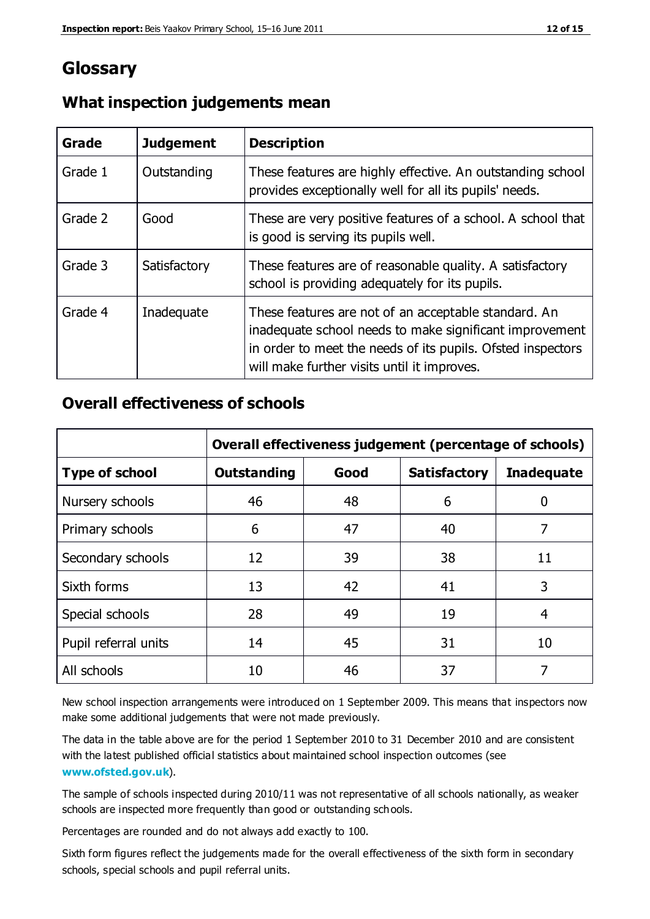#### **Glossary**

| Grade   | <b>Judgement</b> | <b>Description</b>                                                                                                                                                                                                            |
|---------|------------------|-------------------------------------------------------------------------------------------------------------------------------------------------------------------------------------------------------------------------------|
| Grade 1 | Outstanding      | These features are highly effective. An outstanding school<br>provides exceptionally well for all its pupils' needs.                                                                                                          |
| Grade 2 | Good             | These are very positive features of a school. A school that<br>is good is serving its pupils well.                                                                                                                            |
| Grade 3 | Satisfactory     | These features are of reasonable quality. A satisfactory<br>school is providing adequately for its pupils.                                                                                                                    |
| Grade 4 | Inadequate       | These features are not of an acceptable standard. An<br>inadequate school needs to make significant improvement<br>in order to meet the needs of its pupils. Ofsted inspectors<br>will make further visits until it improves. |

#### **What inspection judgements mean**

#### **Overall effectiveness of schools**

|                       | Overall effectiveness judgement (percentage of schools) |      |                     |                   |
|-----------------------|---------------------------------------------------------|------|---------------------|-------------------|
| <b>Type of school</b> | <b>Outstanding</b>                                      | Good | <b>Satisfactory</b> | <b>Inadequate</b> |
| Nursery schools       | 46                                                      | 48   | 6                   |                   |
| Primary schools       | 6                                                       | 47   | 40                  | 7                 |
| Secondary schools     | 12                                                      | 39   | 38                  | 11                |
| Sixth forms           | 13                                                      | 42   | 41                  | 3                 |
| Special schools       | 28                                                      | 49   | 19                  | 4                 |
| Pupil referral units  | 14                                                      | 45   | 31                  | 10                |
| All schools           | 10                                                      | 46   | 37                  |                   |

New school inspection arrangements were introduced on 1 September 2009. This means that inspectors now make some additional judgements that were not made previously.

The data in the table above are for the period 1 September 2010 to 31 December 2010 and are consistent with the latest published official statistics about maintained school inspection outcomes (see **[www.ofsted.gov.uk](http://www.ofsted.gov.uk/)**).

The sample of schools inspected during 2010/11 was not representative of all schools nationally, as weaker schools are inspected more frequently than good or outstanding schools.

Percentages are rounded and do not always add exactly to 100.

Sixth form figures reflect the judgements made for the overall effectiveness of the sixth form in secondary schools, special schools and pupil referral units.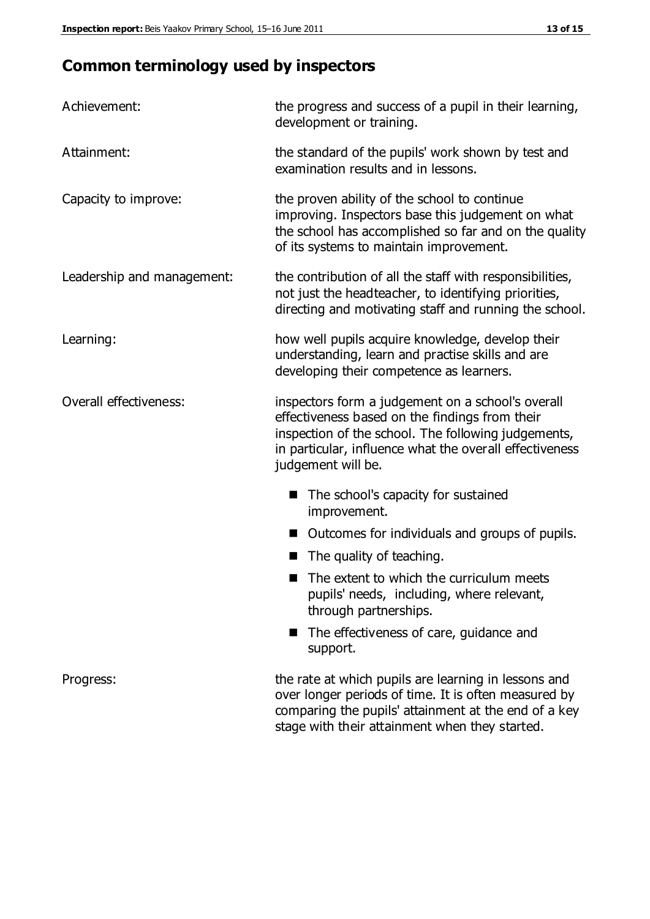### **Common terminology used by inspectors**

| Achievement:                  | the progress and success of a pupil in their learning,<br>development or training.                                                                                                                                                          |  |
|-------------------------------|---------------------------------------------------------------------------------------------------------------------------------------------------------------------------------------------------------------------------------------------|--|
| Attainment:                   | the standard of the pupils' work shown by test and<br>examination results and in lessons.                                                                                                                                                   |  |
| Capacity to improve:          | the proven ability of the school to continue<br>improving. Inspectors base this judgement on what<br>the school has accomplished so far and on the quality<br>of its systems to maintain improvement.                                       |  |
| Leadership and management:    | the contribution of all the staff with responsibilities,<br>not just the headteacher, to identifying priorities,<br>directing and motivating staff and running the school.                                                                  |  |
| Learning:                     | how well pupils acquire knowledge, develop their<br>understanding, learn and practise skills and are<br>developing their competence as learners.                                                                                            |  |
| <b>Overall effectiveness:</b> | inspectors form a judgement on a school's overall<br>effectiveness based on the findings from their<br>inspection of the school. The following judgements,<br>in particular, influence what the overall effectiveness<br>judgement will be. |  |
|                               | The school's capacity for sustained<br>improvement.                                                                                                                                                                                         |  |
|                               | Outcomes for individuals and groups of pupils.                                                                                                                                                                                              |  |
|                               | The quality of teaching.                                                                                                                                                                                                                    |  |
|                               | The extent to which the curriculum meets<br>pupils' needs, including, where relevant,<br>through partnerships.                                                                                                                              |  |
|                               | The effectiveness of care, guidance and<br>support.                                                                                                                                                                                         |  |
| Progress:                     | the rate at which pupils are learning in lessons and<br>over longer periods of time. It is often measured by<br>comparing the pupils' attainment at the end of a key                                                                        |  |

stage with their attainment when they started.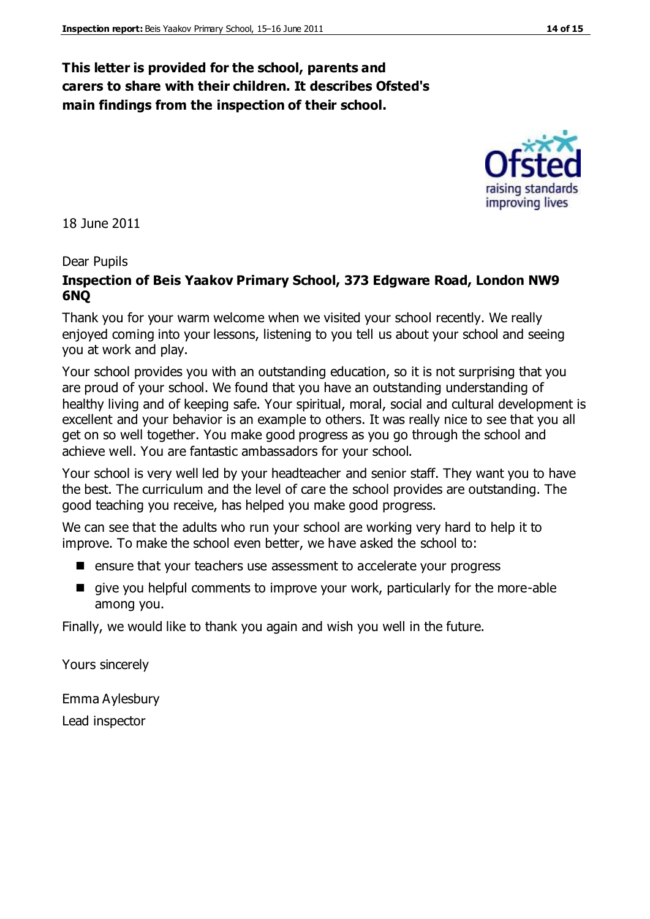#### **This letter is provided for the school, parents and carers to share with their children. It describes Ofsted's main findings from the inspection of their school.**

18 June 2011

#### Dear Pupils

#### **Inspection of Beis Yaakov Primary School, 373 Edgware Road, London NW9 6NQ**

Thank you for your warm welcome when we visited your school recently. We really enjoyed coming into your lessons, listening to you tell us about your school and seeing you at work and play.

Your school provides you with an outstanding education, so it is not surprising that you are proud of your school. We found that you have an outstanding understanding of healthy living and of keeping safe. Your spiritual, moral, social and cultural development is excellent and your behavior is an example to others. It was really nice to see that you all get on so well together. You make good progress as you go through the school and achieve well. You are fantastic ambassadors for your school.

Your school is very well led by your headteacher and senior staff. They want you to have the best. The curriculum and the level of care the school provides are outstanding. The good teaching you receive, has helped you make good progress.

We can see that the adults who run your school are working very hard to help it to improve. To make the school even better, we have asked the school to:

- **E** ensure that your teachers use assessment to accelerate your progress
- give you helpful comments to improve your work, particularly for the more-able among you.

Finally, we would like to thank you again and wish you well in the future.

Yours sincerely

Emma Aylesbury Lead inspector